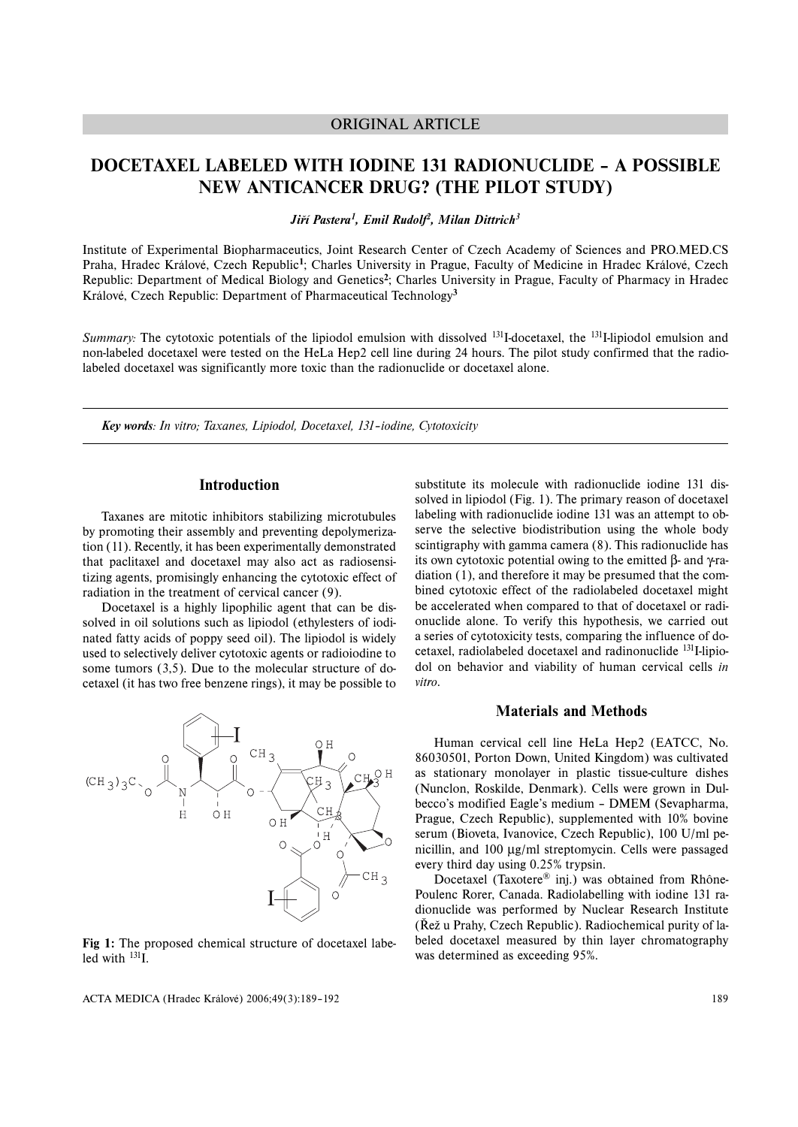# ORIGINAL ARTICLE

# **DOCETAXEL LABELED WITH IODINE 131 RADIONUCLIDE – A POSSIBLE NEW ANTICANCER DRUG? (THE PILOT STUDY)**

*Jiří Pastera1, Emil Rudolf2, Milan Dittrich3*

Institute of Experimental Biopharmaceutics, Joint Research Center of Czech Academy of Sciences and PRO.MED.CS Praha, Hradec Králové, Czech Republic**<sup>1</sup>**; Charles University in Prague, Faculty of Medicine in Hradec Králové, Czech Republic: Department of Medical Biology and Genetics**<sup>2</sup>**; Charles University in Prague, Faculty of Pharmacy in Hradec Králové, Czech Republic: Department of Pharmaceutical Technology**<sup>3</sup>**

*Summary:* The cytotoxic potentials of the lipiodol emulsion with dissolved <sup>131</sup>I-docetaxel, the <sup>131</sup>I-lipiodol emulsion and non-labeled docetaxel were tested on the HeLa Hep2 cell line during 24 hours. The pilot study confirmed that the radiolabeled docetaxel was significantly more toxic than the radionuclide or docetaxel alone.

*Key words: In vitro; Taxanes, Lipiodol, Docetaxel, 131–iodine, Cytotoxicity*

# **Introduction**

Taxanes are mitotic inhibitors stabilizing microtubules by promoting their assembly and preventing depolymerization (11). Recently, it has been experimentally demonstrated that paclitaxel and docetaxel may also act as radiosensitizing agents, promisingly enhancing the cytotoxic effect of radiation in the treatment of cervical cancer (9).

Docetaxel is a highly lipophilic agent that can be dissolved in oil solutions such as lipiodol (ethylesters of iodinated fatty acids of poppy seed oil). The lipiodol is widely used to selectively deliver cytotoxic agents or radioiodine to some tumors (3,5). Due to the molecular structure of docetaxel (it has two free benzene rings), it may be possible to



**Fig 1:** The proposed chemical structure of docetaxel labeled with  $^{131}$ I.

ACTA MEDICA (Hradec Králové) 2006;49(3):189–192

substitute its molecule with radionuclide iodine 131 dissolved in lipiodol (Fig. 1). The primary reason of docetaxel labeling with radionuclide iodine 131 was an attempt to observe the selective biodistribution using the whole body scintigraphy with gamma camera (8). This radionuclide has its own cytotoxic potential owing to the emitted β- and γ-radiation (1), and therefore it may be presumed that the combined cytotoxic effect of the radiolabeled docetaxel might be accelerated when compared to that of docetaxel or radionuclide alone. To verify this hypothesis, we carried out a series of cytotoxicity tests, comparing the influence of docetaxel, radiolabeled docetaxel and radinonuclide <sup>131</sup>I-lipiodol on behavior and viability of human cervical cells *in vitro*.

## **Materials and Methods**

Human cervical cell line HeLa Hep2 (EATCC, No. 86030501, Porton Down, United Kingdom) was cultivated as stationary monolayer in plastic tissue-culture dishes (Nunclon, Roskilde, Denmark). Cells were grown in Dulbecco's modified Eagle's medium – DMEM (Sevapharma, Prague, Czech Republic), supplemented with 10% bovine serum (Bioveta, Ivanovice, Czech Republic), 100 U/ml penicillin, and 100 μg/ml streptomycin. Cells were passaged every third day using 0.25% trypsin.

Docetaxel (Taxotere® inj.) was obtained from Rhône-Poulenc Rorer, Canada. Radiolabelling with iodine 131 radionuclide was performed by Nuclear Research Institute (Řež u Prahy, Czech Republic). Radiochemical purity of labeled docetaxel measured by thin layer chromatography was determined as exceeding 95%.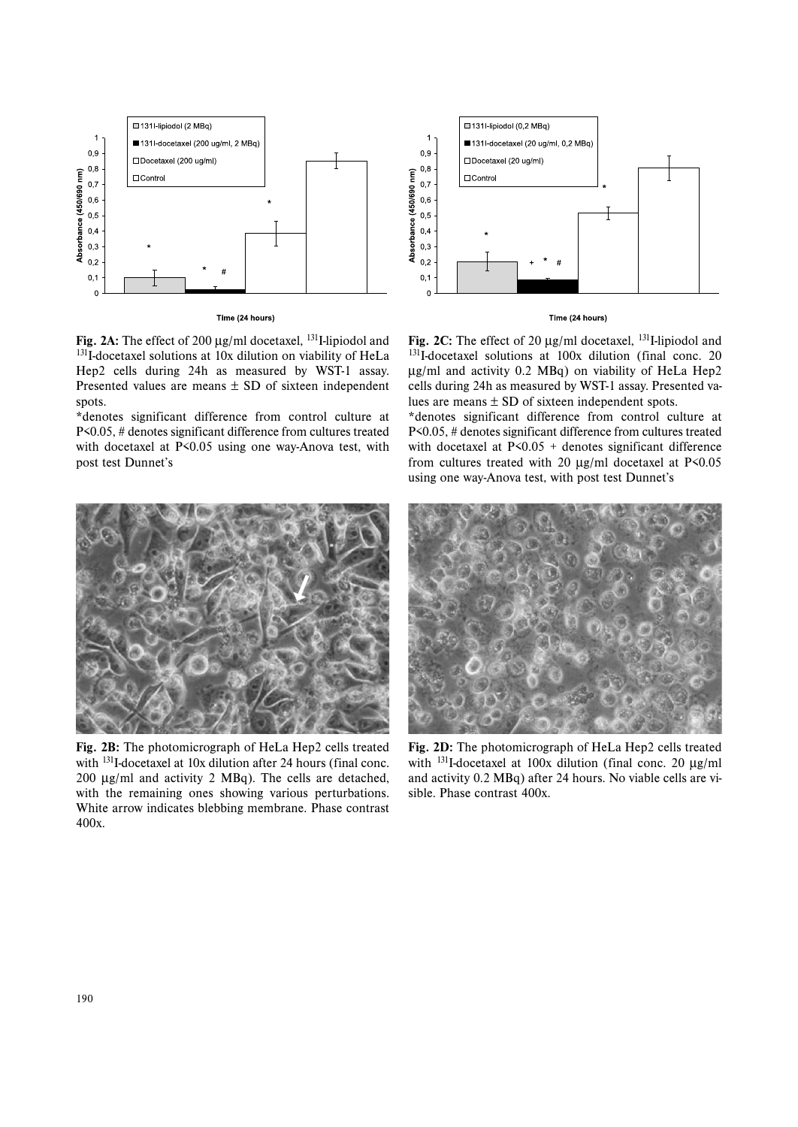

**Fig. 2A:** The effect of 200 μg/ml docetaxel, 131I-lipiodol and <sup>131</sup>I-docetaxel solutions at 10x dilution on viability of HeLa Hep2 cells during 24h as measured by WST-1 assay. Presented values are means  $\pm$  SD of sixteen independent spots.

\*denotes significant difference from control culture at P<0.05, # denotes significant difference from cultures treated with docetaxel at P<0.05 using one way-Anova test, with post test Dunnet's



**Fig. 2B:** The photomicrograph of HeLa Hep2 cells treated with <sup>131</sup>I-docetaxel at 10x dilution after 24 hours (final conc. 200 μg/ml and activity 2 MBq). The cells are detached, with the remaining ones showing various perturbations. White arrow indicates blebbing membrane. Phase contrast 400x.



#### Time (24 hours)

**Fig. 2C:** The effect of 20 μg/ml docetaxel, 131I-lipiodol and <sup>131</sup>I-docetaxel solutions at 100x dilution (final conc. 20 μg/ml and activity 0.2 MBq) on viability of HeLa Hep2 cells during 24h as measured by WST-1 assay. Presented values are means  $\pm$  SD of sixteen independent spots.

\*denotes significant difference from control culture at P<0.05, # denotes significant difference from cultures treated with docetaxel at P<0.05 + denotes significant difference from cultures treated with 20 μg/ml docetaxel at P<0.05 using one way-Anova test, with post test Dunnet's



**Fig. 2D:** The photomicrograph of HeLa Hep2 cells treated with <sup>131</sup>I-docetaxel at 100x dilution (final conc. 20 μg/ml and activity 0.2 MBq) after 24 hours. No viable cells are visible. Phase contrast 400x.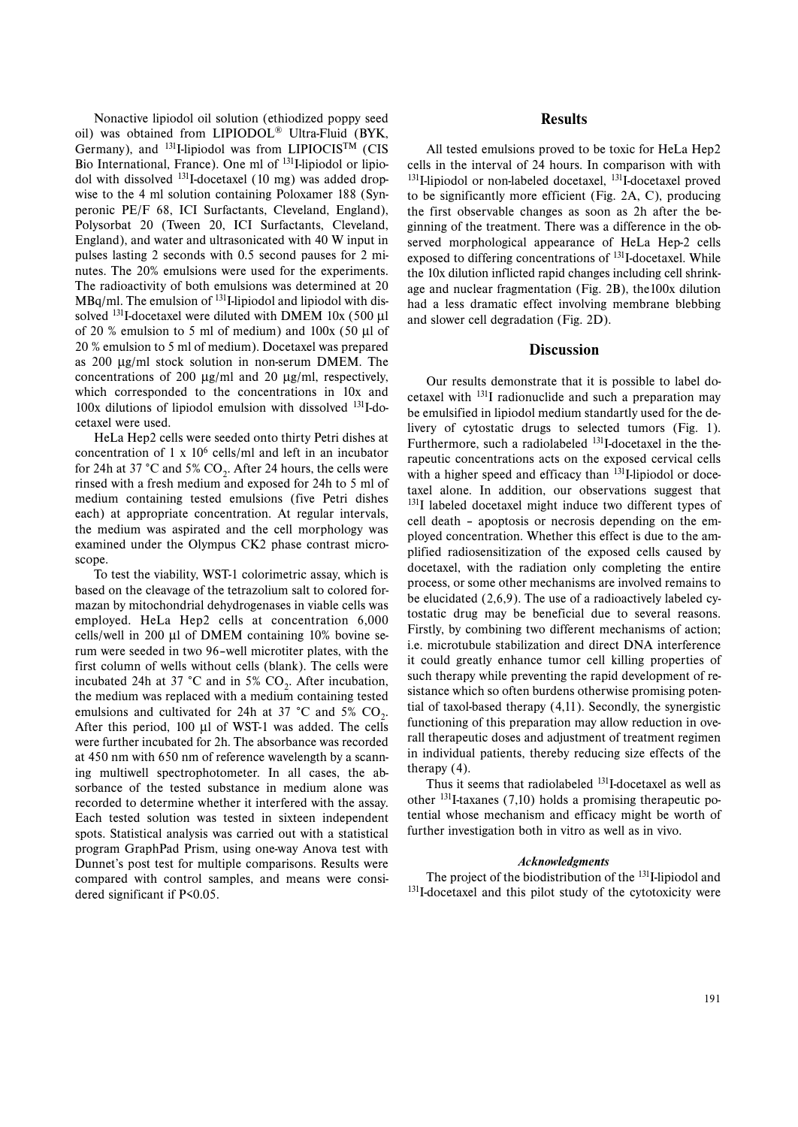Nonactive lipiodol oil solution (ethiodized poppy seed oil) was obtained from LIPIODOL® Ultra-Fluid (BYK, Germany), and <sup>131</sup>I-lipiodol was from LIPIOCIS™ (CIS Bio International, France). One ml of 131I-lipiodol or lipiodol with dissolved 131I-docetaxel (10 mg) was added dropwise to the 4 ml solution containing Poloxamer 188 (Synperonic PE/F 68, ICI Surfactants, Cleveland, England), Polysorbat 20 (Tween 20, ICI Surfactants, Cleveland, England), and water and ultrasonicated with 40 W input in pulses lasting 2 seconds with 0.5 second pauses for 2 minutes. The 20% emulsions were used for the experiments. The radioactivity of both emulsions was determined at 20  $MBq/ml$ . The emulsion of  $^{131}$ I-lipiodol and lipiodol with dissolved <sup>131</sup>I-docetaxel were diluted with DMEM 10x (500 μl of 20 % emulsion to 5 ml of medium) and 100x (50 μl of 20 % emulsion to 5 ml of medium). Docetaxel was prepared as 200 μg/ml stock solution in non-serum DMEM. The concentrations of 200 μg/ml and 20 μg/ml, respectively, which corresponded to the concentrations in 10x and 100x dilutions of lipiodol emulsion with dissolved 131I-docetaxel were used.

HeLa Hep2 cells were seeded onto thirty Petri dishes at concentration of 1 x  $10^6$  cells/ml and left in an incubator for 24h at 37 °C and 5%  $CO<sub>2</sub>$ . After 24 hours, the cells were rinsed with a fresh medium and exposed for 24h to 5 ml of medium containing tested emulsions (five Petri dishes each) at appropriate concentration. At regular intervals, the medium was aspirated and the cell morphology was examined under the Olympus CK2 phase contrast microscope.

To test the viability, WST-1 colorimetric assay, which is based on the cleavage of the tetrazolium salt to colored formazan by mitochondrial dehydrogenases in viable cells was employed. HeLa Hep2 cells at concentration 6,000 cells/well in 200 μl of DMEM containing 10% bovine serum were seeded in two 96–well microtiter plates, with the first column of wells without cells (blank). The cells were incubated 24h at 37 °C and in 5%  $CO<sub>2</sub>$ . After incubation, the medium was replaced with a medium containing tested emulsions and cultivated for 24h at 37  $^{\circ}$ C and 5% CO<sub>2</sub>. After this period, 100 μl of WST-1 was added. The cells were further incubated for 2h. The absorbance was recorded at 450 nm with 650 nm of reference wavelength by a scanning multiwell spectrophotometer. In all cases, the absorbance of the tested substance in medium alone was recorded to determine whether it interfered with the assay. Each tested solution was tested in sixteen independent spots. Statistical analysis was carried out with a statistical program GraphPad Prism, using one-way Anova test with Dunnet's post test for multiple comparisons. Results were compared with control samples, and means were considered significant if P<0.05.

## **Results**

All tested emulsions proved to be toxic for HeLa Hep2 cells in the interval of 24 hours. In comparison with with <sup>131</sup>I-lipiodol or non-labeled docetaxel, <sup>131</sup>I-docetaxel proved to be significantly more efficient (Fig. 2A, C), producing the first observable changes as soon as 2h after the beginning of the treatment. There was a difference in the observed morphological appearance of HeLa Hep-2 cells exposed to differing concentrations of <sup>131</sup>I-docetaxel. While the 10x dilution inflicted rapid changes including cell shrinkage and nuclear fragmentation (Fig. 2B), the100x dilution had a less dramatic effect involving membrane blebbing and slower cell degradation (Fig. 2D).

#### **Discussion**

Our results demonstrate that it is possible to label docetaxel with 131I radionuclide and such a preparation may be emulsified in lipiodol medium standartly used for the delivery of cytostatic drugs to selected tumors (Fig. 1). Furthermore, such a radiolabeled <sup>131</sup>I-docetaxel in the therapeutic concentrations acts on the exposed cervical cells with a higher speed and efficacy than <sup>131</sup>I-lipiodol or docetaxel alone. In addition, our observations suggest that <sup>131</sup>I labeled docetaxel might induce two different types of cell death – apoptosis or necrosis depending on the employed concentration. Whether this effect is due to the amplified radiosensitization of the exposed cells caused by docetaxel, with the radiation only completing the entire process, or some other mechanisms are involved remains to be elucidated (2,6,9). The use of a radioactively labeled cytostatic drug may be beneficial due to several reasons. Firstly, by combining two different mechanisms of action; i.e. microtubule stabilization and direct DNA interference it could greatly enhance tumor cell killing properties of such therapy while preventing the rapid development of resistance which so often burdens otherwise promising potential of taxol-based therapy (4,11). Secondly, the synergistic functioning of this preparation may allow reduction in overall therapeutic doses and adjustment of treatment regimen in individual patients, thereby reducing size effects of the therapy (4).

Thus it seems that radiolabeled 131I-docetaxel as well as other 131I-taxanes (7,10) holds a promising therapeutic potential whose mechanism and efficacy might be worth of further investigation both in vitro as well as in vivo.

#### *Acknowledgments*

The project of the biodistribution of the <sup>131</sup>I-lipiodol and <sup>131</sup>I-docetaxel and this pilot study of the cytotoxicity were